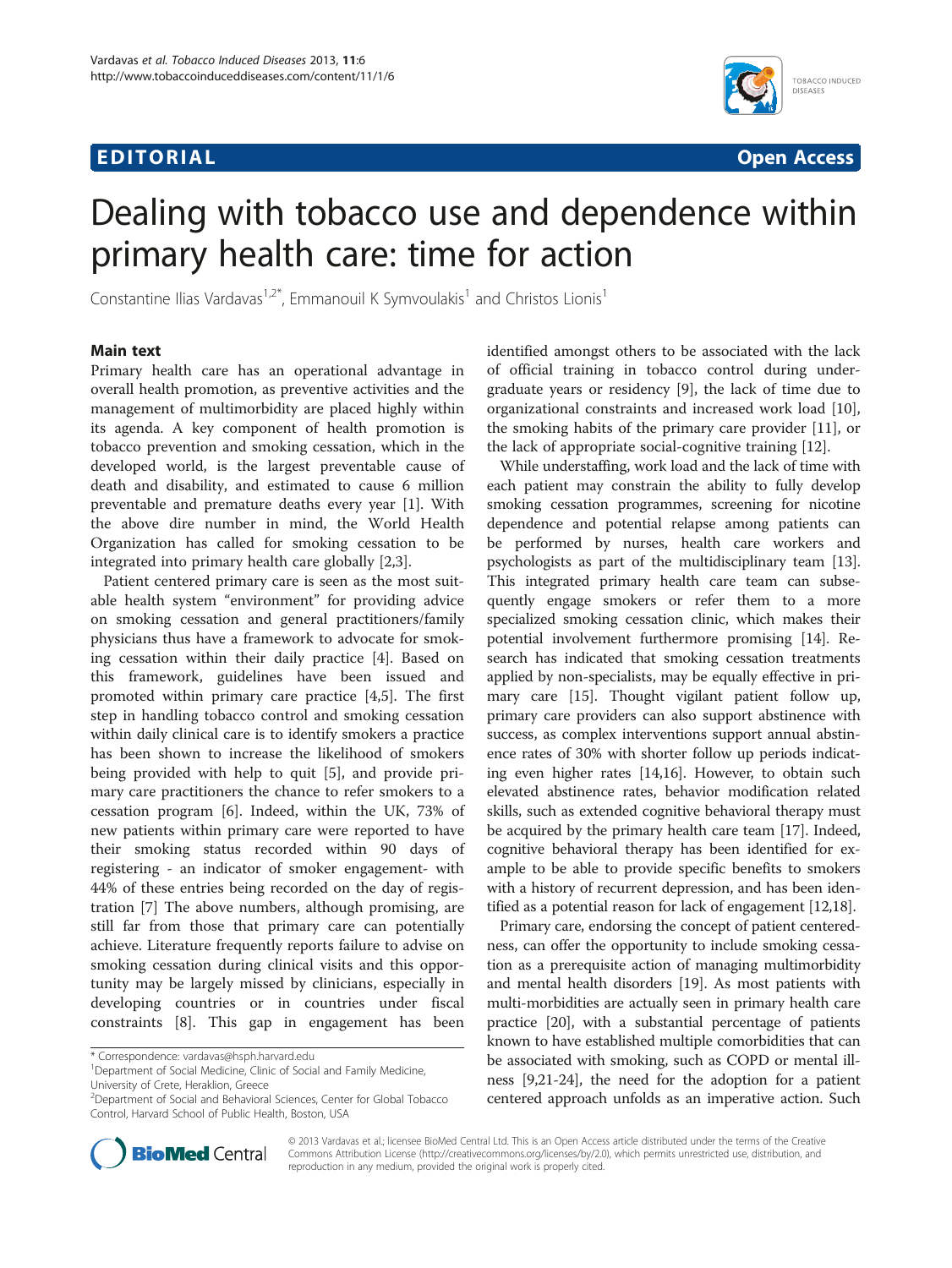# **EDITORIAL** CONTROL CONTROL CONTROL CONTROL CONTROL CONTROL CONTROL CONTROL CONTROL CONTROL CONTROL CONTROL CONTROL CONTROL CONTROL CONTROL CONTROL CONTROL CONTROL CONTROL CONTROL CONTROL CONTROL CONTROL CONTROL CONTROL CO



# Dealing with tobacco use and dependence within primary health care: time for action

Constantine Ilias Vardavas<sup>1,2\*</sup>, Emmanouil K Symvoulakis<sup>1</sup> and Christos Lionis<sup>1</sup>

## Main text

Primary health care has an operational advantage in overall health promotion, as preventive activities and the management of multimorbidity are placed highly within its agenda. A key component of health promotion is tobacco prevention and smoking cessation, which in the developed world, is the largest preventable cause of death and disability, and estimated to cause 6 million preventable and premature deaths every year [\[1\]](#page-1-0). With the above dire number in mind, the World Health Organization has called for smoking cessation to be integrated into primary health care globally [\[2,3](#page-1-0)].

Patient centered primary care is seen as the most suitable health system "environment" for providing advice on smoking cessation and general practitioners/family physicians thus have a framework to advocate for smoking cessation within their daily practice [[4\]](#page-1-0). Based on this framework, guidelines have been issued and promoted within primary care practice [\[4,5](#page-1-0)]. The first step in handling tobacco control and smoking cessation within daily clinical care is to identify smokers a practice has been shown to increase the likelihood of smokers being provided with help to quit [[5\]](#page-1-0), and provide primary care practitioners the chance to refer smokers to a cessation program [[6](#page-1-0)]. Indeed, within the UK, 73% of new patients within primary care were reported to have their smoking status recorded within 90 days of registering - an indicator of smoker engagement- with 44% of these entries being recorded on the day of registration [[7\]](#page-1-0) The above numbers, although promising, are still far from those that primary care can potentially achieve. Literature frequently reports failure to advise on smoking cessation during clinical visits and this opportunity may be largely missed by clinicians, especially in developing countries or in countries under fiscal constraints [\[8](#page-1-0)]. This gap in engagement has been



While understaffing, work load and the lack of time with each patient may constrain the ability to fully develop smoking cessation programmes, screening for nicotine dependence and potential relapse among patients can be performed by nurses, health care workers and psychologists as part of the multidisciplinary team [[13](#page-1-0)]. This integrated primary health care team can subsequently engage smokers or refer them to a more specialized smoking cessation clinic, which makes their potential involvement furthermore promising [\[14\]](#page-1-0). Research has indicated that smoking cessation treatments applied by non-specialists, may be equally effective in primary care [\[15\]](#page-1-0). Thought vigilant patient follow up, primary care providers can also support abstinence with success, as complex interventions support annual abstinence rates of 30% with shorter follow up periods indicating even higher rates [\[14,16](#page-1-0)]. However, to obtain such elevated abstinence rates, behavior modification related skills, such as extended cognitive behavioral therapy must be acquired by the primary health care team [\[17\]](#page-1-0). Indeed, cognitive behavioral therapy has been identified for example to be able to provide specific benefits to smokers with a history of recurrent depression, and has been identified as a potential reason for lack of engagement [\[12,18](#page-1-0)].

Primary care, endorsing the concept of patient centeredness, can offer the opportunity to include smoking cessation as a prerequisite action of managing multimorbidity and mental health disorders [[19](#page-1-0)]. As most patients with multi-morbidities are actually seen in primary health care practice [[20](#page-1-0)], with a substantial percentage of patients known to have established multiple comorbidities that can be associated with smoking, such as COPD or mental illness [[9,21](#page-1-0)-[24](#page-1-0)], the need for the adoption for a patient centered approach unfolds as an imperative action. Such



© 2013 Vardavas et al.; licensee BioMed Central Ltd. This is an Open Access article distributed under the terms of the Creative Commons Attribution License [\(http://creativecommons.org/licenses/by/2.0\)](http://creativecommons.org/licenses/by/2.0), which permits unrestricted use, distribution, and reproduction in any medium, provided the original work is properly cited.

<sup>\*</sup> Correspondence: [vardavas@hsph.harvard.edu](mailto:vardavas@hsph.harvard.edu) <sup>1</sup>

<sup>&</sup>lt;sup>1</sup>Department of Social Medicine, Clinic of Social and Family Medicine, University of Crete, Heraklion, Greece

<sup>2</sup> Department of Social and Behavioral Sciences, Center for Global Tobacco Control, Harvard School of Public Health, Boston, USA